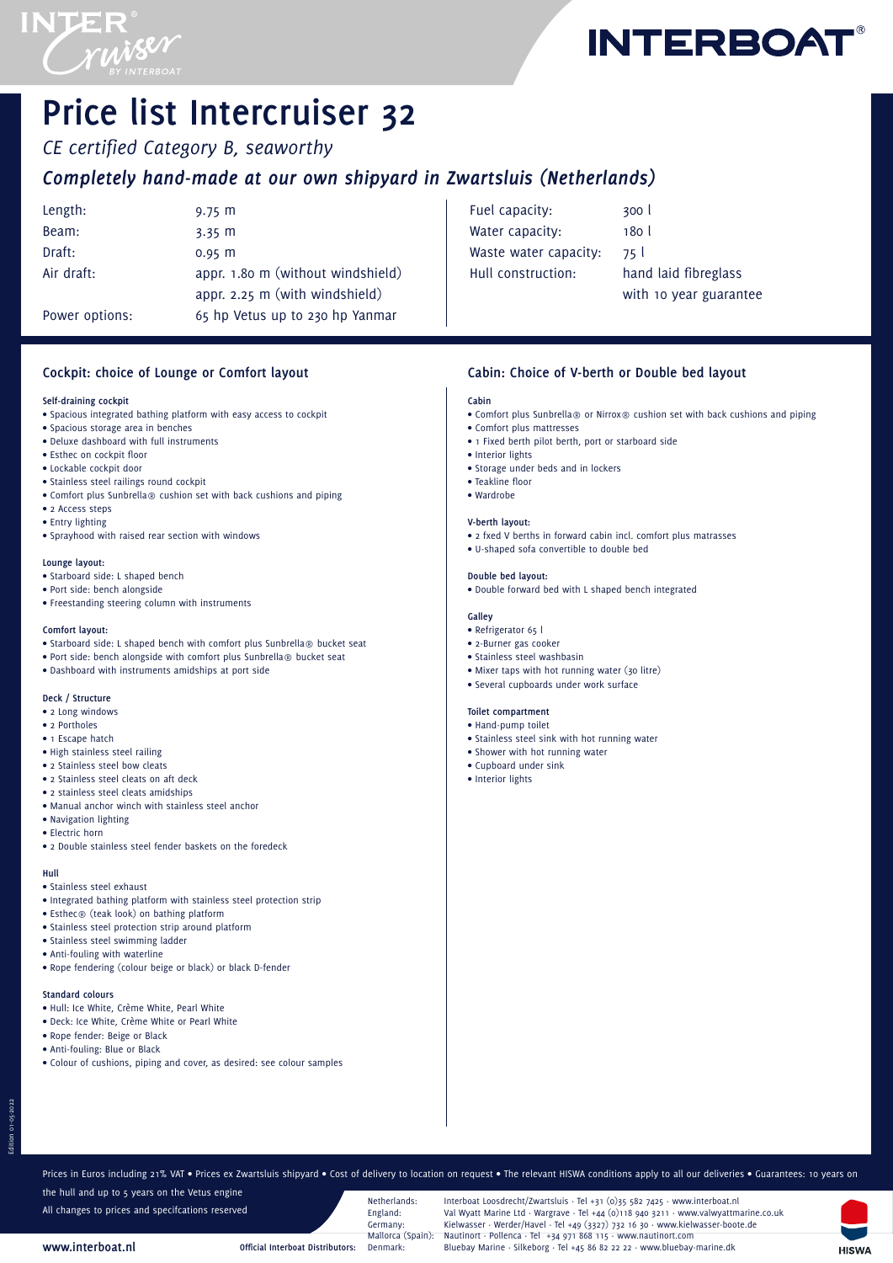



# **Price list Intercruiser 32**

*CE certified Category B, seaworthy Completely hand-made at our own shipyard in Zwartsluis (Netherlands)*

| Length:        | $9.75 \; m$                       |
|----------------|-----------------------------------|
| Beam:          | $3.35 \, m$                       |
| Draft:         | $0.95$ m                          |
| Air draft:     | appr. 1.80 m (without windshield) |
|                | appr. 2.25 m (with windshield)    |
| Power options: | 65 hp Vetus up to 230 hp Yanmar   |
|                |                                   |

| Fuel capacity:        | 300 <sub>1</sub>       |
|-----------------------|------------------------|
| Water capacity:       | 180 l                  |
| Waste water capacity: | 75 I                   |
| Hull construction:    | hand laid fibreglass   |
|                       | with 10 year guarantee |

# **Cockpit: choice of Lounge or Comfort layout**

## **Self-draining cockpit**

- Spacious integrated bathing platform with easy access to cockpit
- Spacious storage area in benches
- Deluxe dashboard with full instruments
- Esthec on cockpit floor
- Lockable cockpit door
- Stainless steel railings round cockpit
- Comfort plus Sunbrella® cushion set with back cushions and piping
- 2 Access steps
- Entry lighting
- Sprayhood with raised rear section with windows

#### **Lounge layout:**

- Starboard side: L shaped bench
- Port side: bench alongside
- Freestanding steering column with instruments

## **Comfort layout:**

- Starboard side: L shaped bench with comfort plus Sunbrella® bucket seat
- Port side: bench alongside with comfort plus Sunbrella® bucket seat
- Dashboard with instruments amidships at port side

# **Deck / Structure**

- 2 Long windows
- 2 Portholes
- 1 Escape hatch
- High stainless steel railing
- 2 Stainless steel bow cleats
- 2 Stainless steel cleats on aft deck
- 2 stainless steel cleats amidships
- Manual anchor winch with stainless steel anchor
- Navigation lighting
- Electric horn
- 2 Double stainless steel fender baskets on the foredeck

#### **Hull**

Edition 01-05-2022

- Stainless steel exhaust
- Integrated bathing platform with stainless steel protection strip
- Esthec® (teak look) on bathing platform
- Stainless steel protection strip around platform
- Stainless steel swimming ladder
- Anti-fouling with waterline
- Rope fendering (colour beige or black) or black D-fender
- **Standard colours**
- Hull: Ice White, Crème White, Pearl White
- Deck: Ice White, Crème White or Pearl White
- Rope fender: Beige or Black
- Anti-fouling: Blue or Black

**www.interboat.nl**

• Colour of cushions, piping and cover, as desired: see colour samples

**Cabin: Choice of V-berth or Double bed layout**

## **Cabin**

- Comfort plus Sunbrella® or Nirrox® cushion set with back cushions and piping
- Comfort plus mattresses
- 1 Fixed berth pilot berth, port or starboard side
- Interior lights
- Storage under beds and in lockers
- Teakline floor
- Wardrobe

#### **V-berth layout:**

- 2 fxed V berths in forward cabin incl. comfort plus matrasses
- U-shaped sofa convertible to double bed

#### **Double bed layout:**

• Double forward bed with L shaped bench integrated

## **Galley**

- Refrigerator 65 l
- 2-Burner gas cooker
- Stainless steel washbasin
- Mixer taps with hot running water (30 litre)
- Several cupboards under work surface

# **Toilet compartment**

- Hand-pump toilet
- Stainless steel sink with hot running water
- Shower with hot running water
- Cupboard under sink
- Interior lights

Prices in Euros including 21% VAT • Prices ex Zwartsluis shipyard • Cost of delivery to location on request • The relevant HISWA conditions apply to all our deliveries • Guarantees: 10 years on the hull and up to 5 years on the Vetus engine

All changes to prices and specifcations reserved

Netherlands: Interboat Loosdrecht/Zwartsluis · Tel +31 (0)35 582 7425 · www.interboat.nl<br>England: Val Wyatt Marine Ltd · Wargrave · Tel +44 (0)118 940 3211 · www.valwyattm England: Val Wyatt Marine Ltd · Wargrave · Tel +44 (0)118 940 3211 · www.valwyattmarine.co.uk Germany: Kielwasser · Werder/Havel · Tel +49 (3327) 732 16 30 · www.kielwasser-boote.de<br>Mallorca (Spain): Nautinort · Pollenca · Tel +34 971 868 115 · www.nautinort.com Mallorca (Spain): Nautinort · Pollenca · Tel +34 971 868 115 · www.nautinort.com<br>• Official Interboat Distributors: Denmark · Bluebay Marine · Silkeborg · Tel +45 86 82 22 22 · www.bluebay **Official Interboat Distributors:** Denmark: Bluebay Marine · Silkeborg · Tel +45 86 82 22 22 · www.bluebay-marine.dk

**HISWA**